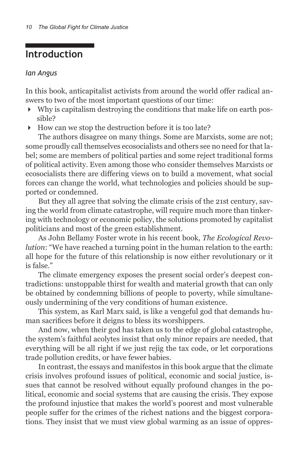## **Introduction**

## *Ian Angus*

In this book, anticapitalist activists from around the world offer radical answers to two of the most important questions of our time:

- Why is capitalism destroying the conditions that make life on earth possible?
- How can we stop the destruction before it is too late?

The authors disagree on many things. Some are Marxists, some are not; some proudly call themselves ecosocialists and others see no need for that label; some are members of political parties and some reject traditional forms of political activity. Even among those who consider themselves Marxists or ecosocialists there are differing views on to build a movement, what social forces can change the world, what technologies and policies should be supported or condemned.

But they all agree that solving the climate crisis of the 21st century, saving the world from climate catastrophe, will require much more than tinkering with technology or economic policy, the solutions promoted by capitalist politicians and most of the green establishment.

As John Bellamy Foster wrote in his recent book, *The Ecological Revolution*: "We have reached a turning point in the human relation to the earth: all hope for the future of this relationship is now either revolutionary or it is false."

The climate emergency exposes the present social order's deepest contradictions: unstoppable thirst for wealth and material growth that can only be obtained by condemning billions of people to poverty, while simultaneously undermining of the very conditions of human existence.

This system, as Karl Marx said, is like a vengeful god that demands human sacrifices before it deigns to bless its worshippers.

And now, when their god has taken us to the edge of global catastrophe, the system's faithful acolytes insist that only minor repairs are needed, that everything will be all right if we just rejig the tax code, or let corporations trade pollution credits, or have fewer babies.

In contrast, the essays and manifestos in this book argue that the climate crisis involves profound issues of political, economic and social justice, issues that cannot be resolved without equally profound changes in the political, economic and social systems that are causing the crisis. They expose the profound injustice that makes the world's poorest and most vulnerable people suffer for the crimes of the richest nations and the biggest corporations. They insist that we must view global warming as an issue of oppres-